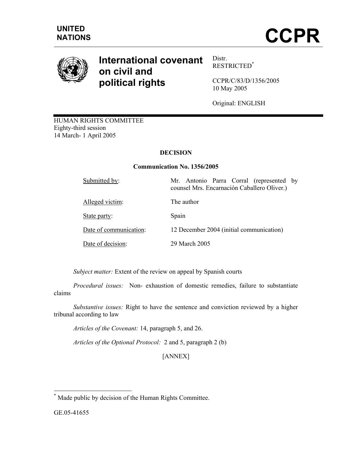

# **International covenant on civil and political rights**

Distr. RESTRICTED\*

CCPR/C/83/D/1356/2005 10 May 2005

Original: ENGLISH

HUMAN RIGHTS COMMITTEE Eighty-third session 14 March- 1 April 2005

# **DECISION**

## **Communication No. 1356/2005**

| Submitted by:          | Mr. Antonio Parra Corral (represented by<br>counsel Mrs. Encarnación Caballero Oliver.) |
|------------------------|-----------------------------------------------------------------------------------------|
| Alleged victim:        | The author                                                                              |
| State party:           | Spain                                                                                   |
| Date of communication: | 12 December 2004 (initial communication)                                                |
| Date of decision:      | 29 March 2005                                                                           |

*Subject matter:* Extent of the review on appeal by Spanish courts

 *Procedural issues:* Non- exhaustion of domestic remedies, failure to substantiate claims

 *Substantive issues:* Right to have the sentence and conviction reviewed by a higher tribunal according to law

 *Articles of the Covenant:* 14, paragraph 5, and 26.

 *Articles of the Optional Protocol:* 2 and 5, paragraph 2 (b)

[ANNEX]

-

<sup>\*</sup> Made public by decision of the Human Rights Committee.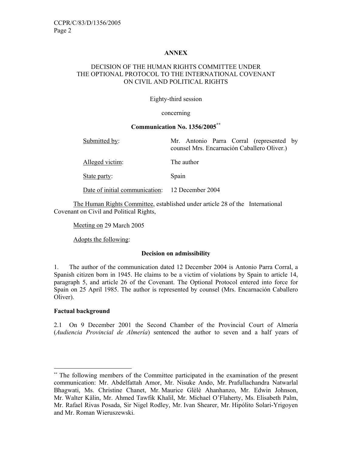## **ANNEX**

## DECISION OF THE HUMAN RIGHTS COMMITTEE UNDER THE OPTIONAL PROTOCOL TO THE INTERNATIONAL COVENANT ON CIVIL AND POLITICAL RIGHTS

#### Eighty-third session

#### concerning

#### **Communication No. 1356/2005\*\***

| Submitted by:                                   | Mr. Antonio Parra Corral (represented by<br>counsel Mrs. Encarnación Caballero Oliver.) |
|-------------------------------------------------|-----------------------------------------------------------------------------------------|
| Alleged victim:                                 | The author                                                                              |
| State party:                                    | Spain                                                                                   |
| Date of initial communication: 12 December 2004 |                                                                                         |

 The Human Rights Committee, established under article 28 of the International Covenant on Civil and Political Rights,

Meeting on 29 March 2005

Adopts the following:

#### **Decision on admissibility**

1. The author of the communication dated 12 December 2004 is Antonio Parra Corral, a Spanish citizen born in 1945. He claims to be a victim of violations by Spain to article 14, paragraph 5, and article 26 of the Covenant. The Optional Protocol entered into force for Spain on 25 April 1985. The author is represented by counsel (Mrs. Encarnación Caballero Oliver).

# **Factual background**

-

2.1 On 9 December 2001 the Second Chamber of the Provincial Court of Almería (*Audiencia Provincial de Almería*) sentenced the author to seven and a half years of

<sup>\*\*\*</sup> The following members of the Committee participated in the examination of the present communication: Mr. Abdelfattah Amor, Mr. Nisuke Ando, Mr. Prafullachandra Natwarlal Bhagwati, Ms. Christine Chanet, Mr. Maurice Glèlè Ahanhanzo, Mr. Edwin Johnson, Mr. Walter Kälin, Mr. Ahmed Tawfik Khalil, Mr. Michael O'Flaherty, Ms. Elisabeth Palm, Mr. Rafael Rivas Posada, Sir Nigel Rodley, Mr. Ivan Shearer, Mr. Hipólito Solari-Yrigoyen and Mr. Roman Wieruszewski.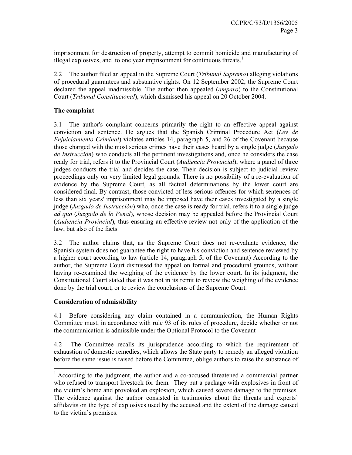imprisonment for destruction of property, attempt to commit homicide and manufacturing of illegal explosives, and to one year imprisonment for continuous threats.<sup>1</sup>

2.2 The author filed an appeal in the Supreme Court (*Tribunal Supremo*) alleging violations of procedural guarantees and substantive rights. On 12 September 2002, the Supreme Court declared the appeal inadmissible. The author then appealed (*amparo*) to the Constitutional Court (*Tribunal Constitucional*), which dismissed his appeal on 20 October 2004.

# **The complaint**

3.1 The author's complaint concerns primarily the right to an effective appeal against conviction and sentence. He argues that the Spanish Criminal Procedure Act (*Ley de Enjuiciamiento Criminal*) violates articles 14, paragraph 5, and 26 of the Covenant because those charged with the most serious crimes have their cases heard by a single judge (*Juzgado de Instrucción*) who conducts all the pertinent investigations and, once he considers the case ready for trial, refers it to the Provincial Court (*Audiencia Provincial*), where a panel of three judges conducts the trial and decides the case. Their decision is subject to judicial review proceedings only on very limited legal grounds. There is no possibility of a re-evaluation of evidence by the Supreme Court, as all factual determinations by the lower court are considered final. By contrast, those convicted of less serious offences for which sentences of less than six years' imprisonment may be imposed have their cases investigated by a single judge (*Juzgado de Instrucción*) who, once the case is ready for trial, refers it to a single judge *ad quo* (*Juzgado de lo Penal*), whose decision may be appealed before the Provincial Court (*Audiencia Provincial*), thus ensuring an effective review not only of the application of the law, but also of the facts.

3.2 The author claims that, as the Supreme Court does not re-evaluate evidence, the Spanish system does not guarantee the right to have his conviction and sentence reviewed by a higher court according to law (article 14, paragraph 5, of the Covenant) According to the author, the Supreme Court dismissed the appeal on formal and procedural grounds, without having re-examined the weighing of the evidence by the lower court. In its judgment, the Constitutional Court stated that it was not in its remit to review the weighing of the evidence done by the trial court, or to review the conclusions of the Supreme Court.

# **Consideration of admissibility**

-

4.1 Before considering any claim contained in a communication, the Human Rights Committee must, in accordance with rule 93 of its rules of procedure, decide whether or not the communication is admissible under the Optional Protocol to the Covenant

4.2 The Committee recalls its jurisprudence according to which the requirement of exhaustion of domestic remedies, which allows the State party to remedy an alleged violation before the same issue is raised before the Committee, oblige authors to raise the substance of

<sup>&</sup>lt;sup>1</sup> According to the judgment, the author and a co-accused threatened a commercial partner who refused to transport livestock for them. They put a package with explosives in front of the victim's home and provoked an explosion, which caused severe damage to the premises. The evidence against the author consisted in testimonies about the threats and experts' affidavits on the type of explosives used by the accused and the extent of the damage caused to the victim's premises.